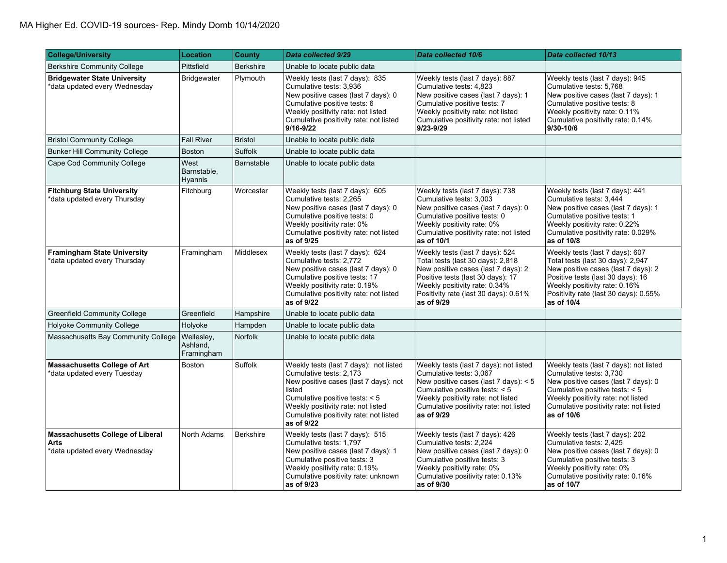| <b>College/University</b>                                                 | <b>Location</b>                      | <b>County</b>    | Data collected 9/29                                                                                                                                                                                                                                  | Data collected 10/6                                                                                                                                                                                                                        | Data collected 10/13                                                                                                                                                                                                                     |
|---------------------------------------------------------------------------|--------------------------------------|------------------|------------------------------------------------------------------------------------------------------------------------------------------------------------------------------------------------------------------------------------------------------|--------------------------------------------------------------------------------------------------------------------------------------------------------------------------------------------------------------------------------------------|------------------------------------------------------------------------------------------------------------------------------------------------------------------------------------------------------------------------------------------|
| <b>Berkshire Community College</b>                                        | Pittsfield                           | <b>Berkshire</b> | Unable to locate public data                                                                                                                                                                                                                         |                                                                                                                                                                                                                                            |                                                                                                                                                                                                                                          |
| <b>Bridgewater State University</b><br>*data updated every Wednesday      | Bridgewater                          | Plymouth         | Weekly tests (last 7 days): 835<br>Cumulative tests: 3,936<br>New positive cases (last 7 days): 0<br>Cumulative positive tests: 6<br>Weekly positivity rate: not listed<br>Cumulative positivity rate: not listed<br>9/16-9/22                       | Weekly tests (last 7 days): 887<br>Cumulative tests: 4,823<br>New positive cases (last 7 days): 1<br>Cumulative positive tests: 7<br>Weekly positivity rate: not listed<br>Cumulative positivity rate: not listed<br>9/23-9/29             | Weekly tests (last 7 days): 945<br>Cumulative tests: 5,768<br>New positive cases (last 7 days): 1<br>Cumulative positive tests: 8<br>Weekly positivity rate: 0.11%<br>Cumulative positivity rate: 0.14%<br>9/30-10/6                     |
| <b>Bristol Community College</b>                                          | <b>Fall River</b>                    | <b>Bristol</b>   | Unable to locate public data                                                                                                                                                                                                                         |                                                                                                                                                                                                                                            |                                                                                                                                                                                                                                          |
| <b>Bunker Hill Community College</b>                                      | <b>Boston</b>                        | Suffolk          | Unable to locate public data                                                                                                                                                                                                                         |                                                                                                                                                                                                                                            |                                                                                                                                                                                                                                          |
| Cape Cod Community College                                                | West<br>Barnstable,<br>Hyannis       | Barnstable       | Unable to locate public data                                                                                                                                                                                                                         |                                                                                                                                                                                                                                            |                                                                                                                                                                                                                                          |
| <b>Fitchburg State University</b><br>*data updated every Thursday         | Fitchburg                            | Worcester        | Weekly tests (last 7 days): 605<br>Cumulative tests: 2,265<br>New positive cases (last 7 days): 0<br>Cumulative positive tests: 0<br>Weekly positivity rate: 0%<br>Cumulative positivity rate: not listed<br>as of 9/25                              | Weekly tests (last 7 days): 738<br>Cumulative tests: 3,003<br>New positive cases (last 7 days): 0<br>Cumulative positive tests: 0<br>Weekly positivity rate: 0%<br>Cumulative positivity rate: not listed<br>as of 10/1                    | Weekly tests (last 7 days): 441<br>Cumulative tests: 3,444<br>New positive cases (last 7 days): 1<br>Cumulative positive tests: 1<br>Weekly positivity rate: 0.22%<br>Cumulative positivity rate: 0.029%<br>as of 10/8                   |
| <b>Framingham State University</b><br>data updated every Thursday         | Framingham                           | Middlesex        | Weekly tests (last 7 days): 624<br>Cumulative tests: 2.772<br>New positive cases (last 7 days): 0<br>Cumulative positive tests: 17<br>Weekly positivity rate: 0.19%<br>Cumulative positivity rate: not listed<br>as of 9/22                          | Weekly tests (last 7 days): 524<br>Total tests (last 30 days): 2,818<br>New positive cases (last 7 days): 2<br>Positive tests (last 30 days): 17<br>Weekly positivity rate: 0.34%<br>Positivity rate (last 30 days): 0.61%<br>as of 9/29   | Weekly tests (last 7 days): 607<br>Total tests (last 30 days): 2,947<br>New positive cases (last 7 days): 2<br>Positive tests (last 30 days): 16<br>Weekly positivity rate: 0.16%<br>Positivity rate (last 30 days): 0.55%<br>as of 10/4 |
| <b>Greenfield Community College</b>                                       | Greenfield                           | Hampshire        | Unable to locate public data                                                                                                                                                                                                                         |                                                                                                                                                                                                                                            |                                                                                                                                                                                                                                          |
| Holyoke Community College                                                 | Holyoke                              | Hampden          | Unable to locate public data                                                                                                                                                                                                                         |                                                                                                                                                                                                                                            |                                                                                                                                                                                                                                          |
| Massachusetts Bay Community College                                       | Wellesley,<br>Ashland,<br>Framingham | <b>Norfolk</b>   | Unable to locate public data                                                                                                                                                                                                                         |                                                                                                                                                                                                                                            |                                                                                                                                                                                                                                          |
| <b>Massachusetts College of Art</b><br>data updated every Tuesday         | Boston                               | <b>Suffolk</b>   | Weekly tests (last 7 days): not listed<br>Cumulative tests: 2,173<br>New positive cases (last 7 days): not<br>listed<br>Cumulative positive tests: < 5<br>Weekly positivity rate: not listed<br>Cumulative positivity rate: not listed<br>as of 9/22 | Weekly tests (last 7 days): not listed<br>Cumulative tests: 3,067<br>New positive cases (last 7 days): < 5<br>Cumulative positive tests: < 5<br>Weekly positivity rate: not listed<br>Cumulative positivity rate: not listed<br>as of 9/29 | Weekly tests (last 7 days): not listed<br>Cumulative tests: 3,730<br>New positive cases (last 7 days): 0<br>Cumulative positive tests: < 5<br>Weekly positivity rate: not listed<br>Cumulative positivity rate: not listed<br>as of 10/6 |
| Massachusetts College of Liberal<br>Arts<br>*data updated every Wednesday | North Adams                          | <b>Berkshire</b> | Weekly tests (last 7 days): 515<br>Cumulative tests: 1,797<br>New positive cases (last 7 days): 1<br>Cumulative positive tests: 3<br>Weekly positivity rate: 0.19%<br>Cumulative positivity rate: unknown<br>as of 9/23                              | Weekly tests (last 7 days): 426<br>Cumulative tests: 2,224<br>New positive cases (last 7 days): 0<br>Cumulative positive tests: 3<br>Weekly positivity rate: 0%<br>Cumulative positivity rate: 0.13%<br>as of 9/30                         | Weekly tests (last 7 days): 202<br>Cumulative tests: 2,425<br>New positive cases (last 7 days): 0<br>Cumulative positive tests: 3<br>Weekly positivity rate: 0%<br>Cumulative positivity rate: 0.16%<br>as of 10/7                       |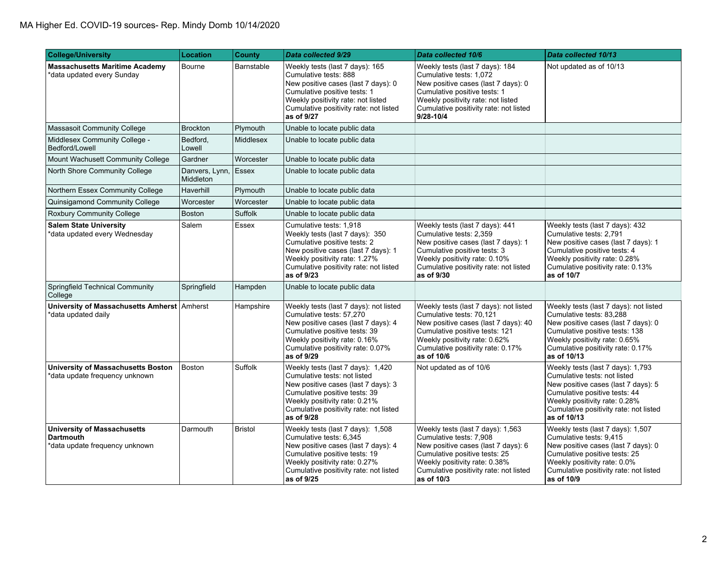| <b>College/University</b>                                                                | Location                    | <b>County</b>    | Data collected 9/29                                                                                                                                                                                                                | Data collected 10/6                                                                                                                                                                                                              | Data collected 10/13                                                                                                                                                                                                                |
|------------------------------------------------------------------------------------------|-----------------------------|------------------|------------------------------------------------------------------------------------------------------------------------------------------------------------------------------------------------------------------------------------|----------------------------------------------------------------------------------------------------------------------------------------------------------------------------------------------------------------------------------|-------------------------------------------------------------------------------------------------------------------------------------------------------------------------------------------------------------------------------------|
| <b>Massachusetts Maritime Academy</b><br>data updated every Sunday                       | Bourne                      | Barnstable       | Weekly tests (last 7 days): 165<br>Cumulative tests: 888<br>New positive cases (last 7 days): 0<br>Cumulative positive tests: 1<br>Weekly positivity rate: not listed<br>Cumulative positivity rate: not listed<br>as of 9/27      | Weekly tests (last 7 days): 184<br>Cumulative tests: 1,072<br>New positive cases (last 7 days): 0<br>Cumulative positive tests: 1<br>Weekly positivity rate: not listed<br>Cumulative positivity rate: not listed<br>9/28-10/4   | Not updated as of 10/13                                                                                                                                                                                                             |
| Massasoit Community College                                                              | <b>Brockton</b>             | Plymouth         | Unable to locate public data                                                                                                                                                                                                       |                                                                                                                                                                                                                                  |                                                                                                                                                                                                                                     |
| Middlesex Community College -<br>Bedford/Lowell                                          | Bedford,<br>Lowell          | <b>Middlesex</b> | Unable to locate public data                                                                                                                                                                                                       |                                                                                                                                                                                                                                  |                                                                                                                                                                                                                                     |
| Mount Wachusett Community College                                                        | Gardner                     | Worcester        | Unable to locate public data                                                                                                                                                                                                       |                                                                                                                                                                                                                                  |                                                                                                                                                                                                                                     |
| North Shore Community College                                                            | Danvers, Lynn,<br>Middleton | Essex            | Unable to locate public data                                                                                                                                                                                                       |                                                                                                                                                                                                                                  |                                                                                                                                                                                                                                     |
| Northern Essex Community College                                                         | Haverhill                   | Plymouth         | Unable to locate public data                                                                                                                                                                                                       |                                                                                                                                                                                                                                  |                                                                                                                                                                                                                                     |
| Quinsigamond Community College                                                           | Worcester                   | Worcester        | Unable to locate public data                                                                                                                                                                                                       |                                                                                                                                                                                                                                  |                                                                                                                                                                                                                                     |
| Roxbury Community College                                                                | <b>Boston</b>               | <b>Suffolk</b>   | Unable to locate public data                                                                                                                                                                                                       |                                                                                                                                                                                                                                  |                                                                                                                                                                                                                                     |
| <b>Salem State University</b><br>data updated every Wednesday                            | Salem                       | <b>Essex</b>     | Cumulative tests: 1.918<br>Weekly tests (last 7 days): 350<br>Cumulative positive tests: 2<br>New positive cases (last 7 days): 1<br>Weekly positivity rate: 1.27%<br>Cumulative positivity rate: not listed<br>as of 9/23         | Weekly tests (last 7 days): 441<br>Cumulative tests: 2,359<br>New positive cases (last 7 days): 1<br>Cumulative positive tests: 3<br>Weekly positivity rate: 0.10%<br>Cumulative positivity rate: not listed<br>as of 9/30       | Weekly tests (last 7 days): 432<br>Cumulative tests: 2,791<br>New positive cases (last 7 days): 1<br>Cumulative positive tests: 4<br>Weekly positivity rate: 0.28%<br>Cumulative positivity rate: 0.13%<br>as of 10/7               |
| Springfield Technical Community<br>College                                               | Springfield                 | Hampden          | Unable to locate public data                                                                                                                                                                                                       |                                                                                                                                                                                                                                  |                                                                                                                                                                                                                                     |
| University of Massachusetts Amherst Amherst<br>data updated daily                        |                             | Hampshire        | Weekly tests (last 7 days): not listed<br>Cumulative tests: 57,270<br>New positive cases (last 7 days): 4<br>Cumulative positive tests: 39<br>Weekly positivity rate: 0.16%<br>Cumulative positivity rate: 0.07%<br>as of 9/29     | Weekly tests (last 7 days): not listed<br>Cumulative tests: 70,121<br>New positive cases (last 7 days): 40<br>Cumulative positive tests: 121<br>Weekly positivity rate: 0.62%<br>Cumulative positivity rate: 0.17%<br>as of 10/6 | Weekly tests (last 7 days): not listed<br>Cumulative tests: 83,288<br>New positive cases (last 7 days): 0<br>Cumulative positive tests: 138<br>Weekly positivity rate: 0.65%<br>Cumulative positivity rate: 0.17%<br>as of 10/13    |
| University of Massachusetts Boston<br>*data update frequency unknown                     | Boston                      | Suffolk          | Weekly tests (last 7 days): 1,420<br>Cumulative tests: not listed<br>New positive cases (last 7 days): 3<br>Cumulative positive tests: 39<br>Weekly positivity rate: 0.21%<br>Cumulative positivity rate: not listed<br>as of 9/28 | Not updated as of 10/6                                                                                                                                                                                                           | Weekly tests (last 7 days): 1,793<br>Cumulative tests: not listed<br>New positive cases (last 7 days): 5<br>Cumulative positive tests: 44<br>Weekly positivity rate: 0.28%<br>Cumulative positivity rate: not listed<br>as of 10/13 |
| <b>University of Massachusetts</b><br><b>Dartmouth</b><br>*data update frequency unknown | Darmouth                    | <b>Bristol</b>   | Weekly tests (last 7 days): 1,508<br>Cumulative tests: 6,345<br>New positive cases (last 7 days): 4<br>Cumulative positive tests: 19<br>Weekly positivity rate: 0.27%<br>Cumulative positivity rate: not listed<br>as of 9/25      | Weekly tests (last 7 days): 1,563<br>Cumulative tests: 7,908<br>New positive cases (last 7 days): 6<br>Cumulative positive tests: 25<br>Weekly positivity rate: 0.38%<br>Cumulative positivity rate: not listed<br>as of 10/3    | Weekly tests (last 7 days): 1,507<br>Cumulative tests: 9,415<br>New positive cases (last 7 days): 0<br>Cumulative positive tests: 25<br>Weekly positivity rate: 0.0%<br>Cumulative positivity rate: not listed<br>as of 10/9        |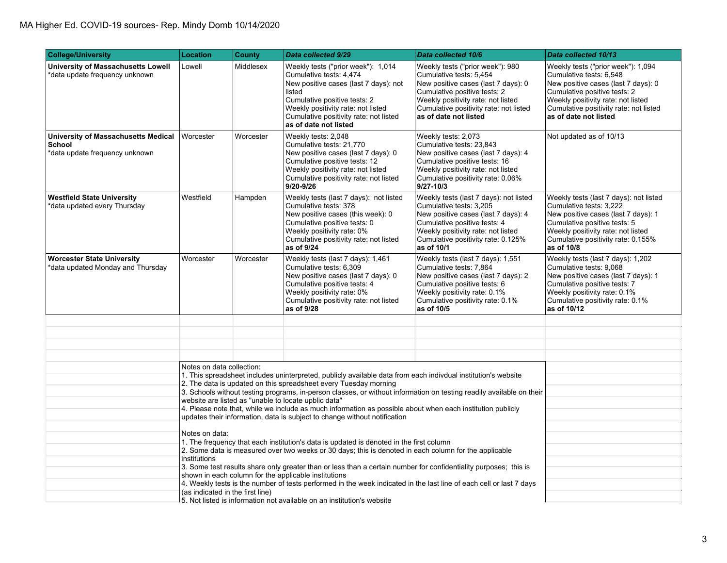| <b>College/University</b>                                                       | <b>Location</b>                                                                                                                                                                                                                                                                                                                                                                                               | County    | Data collected 9/29                                                                                                                                                                                                                                                                                                                                                                                                                                                                                                                                          | Data collected 10/6                                                                                                                                                                                                                         | Data collected 10/13                                                                                                                                                                                                                          |
|---------------------------------------------------------------------------------|---------------------------------------------------------------------------------------------------------------------------------------------------------------------------------------------------------------------------------------------------------------------------------------------------------------------------------------------------------------------------------------------------------------|-----------|--------------------------------------------------------------------------------------------------------------------------------------------------------------------------------------------------------------------------------------------------------------------------------------------------------------------------------------------------------------------------------------------------------------------------------------------------------------------------------------------------------------------------------------------------------------|---------------------------------------------------------------------------------------------------------------------------------------------------------------------------------------------------------------------------------------------|-----------------------------------------------------------------------------------------------------------------------------------------------------------------------------------------------------------------------------------------------|
| University of Massachusetts Lowell<br>data update frequency unknown*            | Lowell                                                                                                                                                                                                                                                                                                                                                                                                        | Middlesex | Weekly tests ("prior week"): 1,014<br>Cumulative tests: 4,474<br>New positive cases (last 7 days): not<br>listed<br>Cumulative positive tests: 2<br>Weekly positivity rate: not listed<br>Cumulative positivity rate: not listed<br>as of date not listed                                                                                                                                                                                                                                                                                                    | Weekly tests ("prior week"): 980<br>Cumulative tests: 5,454<br>New positive cases (last 7 days): 0<br>Cumulative positive tests: 2<br>Weekly positivity rate: not listed<br>Cumulative positivity rate: not listed<br>as of date not listed | Weekly tests ("prior week"): 1,094<br>Cumulative tests: 6,548<br>New positive cases (last 7 days): 0<br>Cumulative positive tests: 2<br>Weekly positivity rate: not listed<br>Cumulative positivity rate: not listed<br>as of date not listed |
| University of Massachusetts Medical<br>School<br>*data update frequency unknown | Worcester                                                                                                                                                                                                                                                                                                                                                                                                     | Worcester | Weekly tests: 2,048<br>Cumulative tests: 21,770<br>New positive cases (last 7 days): 0<br>Cumulative positive tests: 12<br>Weekly positivity rate: not listed<br>Cumulative positivity rate: not listed<br>9/20-9/26                                                                                                                                                                                                                                                                                                                                         | Weekly tests: 2,073<br>Cumulative tests: 23,843<br>New positive cases (last 7 days): 4<br>Cumulative positive tests: 16<br>Weekly positivity rate: not listed<br>Cumulative positivity rate: 0.06%<br>$9/27 - 10/3$                         | Not updated as of 10/13                                                                                                                                                                                                                       |
| <b>Westfield State University</b><br>*data updated every Thursday               | Westfield                                                                                                                                                                                                                                                                                                                                                                                                     | Hampden   | Weekly tests (last 7 days): not listed<br>Cumulative tests: 378<br>New positive cases (this week): 0<br>Cumulative positive tests: 0<br>Weekly positivity rate: 0%<br>Cumulative positivity rate: not listed<br>as of 9/24                                                                                                                                                                                                                                                                                                                                   | Weekly tests (last 7 days): not listed<br>Cumulative tests: 3,205<br>New positive cases (last 7 days): 4<br>Cumulative positive tests: 4<br>Weekly positivity rate: not listed<br>Cumulative positivity rate: 0.125%<br>as of 10/1          | Weekly tests (last 7 days): not listed<br>Cumulative tests: 3,222<br>New positive cases (last 7 days): 1<br>Cumulative positive tests: 5<br>Weekly positivity rate: not listed<br>Cumulative positivity rate: 0.155%<br>as of 10/8            |
| <b>Worcester State University</b><br>*data updated Monday and Thursday          | Worcester                                                                                                                                                                                                                                                                                                                                                                                                     | Worcester | Weekly tests (last 7 days): 1,461<br>Cumulative tests: 6,309<br>New positive cases (last 7 days): 0<br>Cumulative positive tests: 4<br>Weekly positivity rate: 0%<br>Cumulative positivity rate: not listed<br>as of 9/28                                                                                                                                                                                                                                                                                                                                    | Weekly tests (last 7 days): 1,551<br>Cumulative tests: 7,864<br>New positive cases (last 7 days): 2<br>Cumulative positive tests: 6<br>Weekly positivity rate: 0.1%<br>Cumulative positivity rate: 0.1%<br>as of 10/5                       | Weekly tests (last 7 days): 1,202<br>Cumulative tests: 9,068<br>New positive cases (last 7 days): 1<br>Cumulative positive tests: 7<br>Weekly positivity rate: 0.1%<br>Cumulative positivity rate: 0.1%<br>as of 10/12                        |
|                                                                                 |                                                                                                                                                                                                                                                                                                                                                                                                               |           |                                                                                                                                                                                                                                                                                                                                                                                                                                                                                                                                                              |                                                                                                                                                                                                                                             |                                                                                                                                                                                                                                               |
|                                                                                 |                                                                                                                                                                                                                                                                                                                                                                                                               |           |                                                                                                                                                                                                                                                                                                                                                                                                                                                                                                                                                              |                                                                                                                                                                                                                                             |                                                                                                                                                                                                                                               |
|                                                                                 |                                                                                                                                                                                                                                                                                                                                                                                                               |           |                                                                                                                                                                                                                                                                                                                                                                                                                                                                                                                                                              |                                                                                                                                                                                                                                             |                                                                                                                                                                                                                                               |
|                                                                                 | Notes on data collection:                                                                                                                                                                                                                                                                                                                                                                                     |           | 1. This spreadsheet includes uninterpreted, publicly available data from each indivdual institution's website<br>2. The data is updated on this spreadsheet every Tuesday morning<br>3. Schools without testing programs, in-person classes, or without information on testing readily available on their<br>website are listed as "unable to locate upblic data"<br>4. Please note that, while we include as much information as possible about when each institution publicly<br>updates their information, data is subject to change without notification |                                                                                                                                                                                                                                             |                                                                                                                                                                                                                                               |
|                                                                                 | Notes on data:<br>1. The frequency that each institution's data is updated is denoted in the first column<br>2. Some data is measured over two weeks or 30 days; this is denoted in each column for the applicable<br>institutions                                                                                                                                                                            |           |                                                                                                                                                                                                                                                                                                                                                                                                                                                                                                                                                              |                                                                                                                                                                                                                                             |                                                                                                                                                                                                                                               |
|                                                                                 | 3. Some test results share only greater than or less than a certain number for confidentiality purposes; this is<br>shown in each column for the applicable institutions<br>4. Weekly tests is the number of tests performed in the week indicated in the last line of each cell or last 7 days<br>(as indicated in the first line)<br>5. Not listed is information not available on an institution's website |           |                                                                                                                                                                                                                                                                                                                                                                                                                                                                                                                                                              |                                                                                                                                                                                                                                             |                                                                                                                                                                                                                                               |